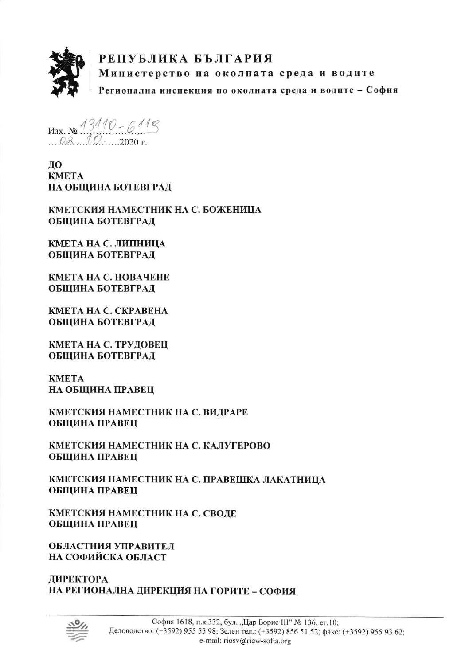

РЕПУБЛИКА БЪЛГАРИЯ Министерство на околната среда и водите Регионална инспекция по околната среда и водите - София

 $x_3x_1x_2$  13110 - 6118

ДО **KMETA** НА ОБЩИНА БОТЕВГРАД

КМЕТСКИЯ НАМЕСТНИК НА С. БОЖЕНИЦА ОБЩИНА БОТЕВГРАД

КМЕТА НА С. ЛИПНИЦА ОБЩИНА БОТЕВГРАД

КМЕТА НА С. НОВАЧЕНЕ ОБЩИНА БОТЕВГРАД

**KMETA HA C. CKPABEHA** ОБЩИНА БОТЕВГРАД

КМЕТА НА С. ТРУДОВЕЦ ОБЩИНА БОТЕВГРАД

**KMETA** НА ОБЩИНА ПРАВЕЦ

КМЕТСКИЯ НАМЕСТНИК НА С. ВИДРАРЕ ОБЩИНА ПРАВЕЦ

КМЕТСКИЯ НАМЕСТНИК НА С. КАЛУГЕРОВО ОБЩИНА ПРАВЕЦ

КМЕТСКИЯ НАМЕСТНИК НА С. ПРАВЕШКА ЛАКАТНИЦА ОБЩИНА ПРАВЕЦ

КМЕТСКИЯ НАМЕСТНИК НА С. СВОДЕ ОБЩИНА ПРАВЕЦ

**ОБЛАСТНИЯ УПРАВИТЕЛ** НА СОФИЙСКА ОБЛАСТ

**ЛИРЕКТОРА** НА РЕГИОНАЛНА ДИРЕКЦИЯ НА ГОРИТЕ - СОФИЯ